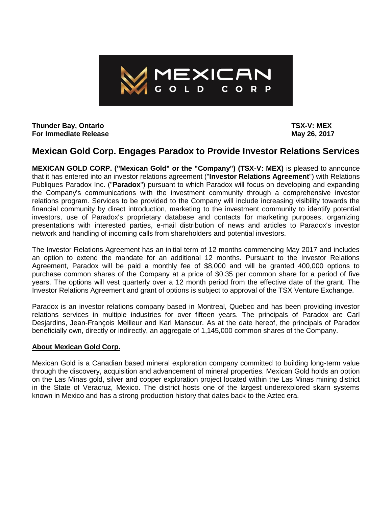

**Thunder Bay, Ontario TSX-V: MEX For Immediate Release May 26, 2017** 

## **Mexican Gold Corp. Engages Paradox to Provide Investor Relations Services**

**MEXICAN GOLD CORP. ("Mexican Gold" or the "Company") (TSX-V: MEX)** is pleased to announce that it has entered into an investor relations agreement ("**Investor Relations Agreement**") with Relations Publiques Paradox Inc. ("**Paradox**") pursuant to which Paradox will focus on developing and expanding the Company's communications with the investment community through a comprehensive investor relations program. Services to be provided to the Company will include increasing visibility towards the financial community by direct introduction, marketing to the investment community to identify potential investors, use of Paradox's proprietary database and contacts for marketing purposes, organizing presentations with interested parties, e-mail distribution of news and articles to Paradox's investor network and handling of incoming calls from shareholders and potential investors.

The Investor Relations Agreement has an initial term of 12 months commencing May 2017 and includes an option to extend the mandate for an additional 12 months. Pursuant to the Investor Relations Agreement, Paradox will be paid a monthly fee of \$8,000 and will be granted 400,000 options to purchase common shares of the Company at a price of \$0.35 per common share for a period of five years. The options will vest quarterly over a 12 month period from the effective date of the grant. The Investor Relations Agreement and grant of options is subject to approval of the TSX Venture Exchange.

Paradox is an investor relations company based in Montreal, Quebec and has been providing investor relations services in multiple industries for over fifteen years. The principals of Paradox are Carl Desjardins, Jean-François Meilleur and Karl Mansour. As at the date hereof, the principals of Paradox beneficially own, directly or indirectly, an aggregate of 1,145,000 common shares of the Company.

## **About Mexican Gold Corp.**

Mexican Gold is a Canadian based mineral exploration company committed to building long-term value through the discovery, acquisition and advancement of mineral properties. Mexican Gold holds an option on the Las Minas gold, silver and copper exploration project located within the Las Minas mining district in the State of Veracruz, Mexico. The district hosts one of the largest underexplored skarn systems known in Mexico and has a strong production history that dates back to the Aztec era.